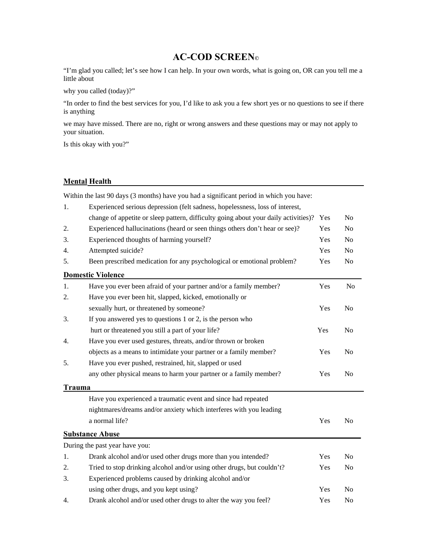## **AC-COD SCREEN©**

"I'm glad you called; let's see how I can help. In your own words, what is going on, OR can you tell me a little about

why you called (today)?"

"In order to find the best services for you, I'd like to ask you a few short yes or no questions to see if there is anything

we may have missed. There are no, right or wrong answers and these questions may or may not apply to your situation.

Is this okay with you?"

## **Mental Health**

Within the last 90 days (3 months) have you had a significant period in which you have:

| 1.     | Experienced serious depression (felt sadness, hopelessness, loss of interest,       |     |                |
|--------|-------------------------------------------------------------------------------------|-----|----------------|
|        | change of appetite or sleep pattern, difficulty going about your daily activities)? | Yes | N <sub>0</sub> |
| 2.     | Experienced hallucinations (heard or seen things others don't hear or see)?         | Yes | No             |
| 3.     | Experienced thoughts of harming yourself?                                           | Yes | N <sub>0</sub> |
| 4.     | Attempted suicide?                                                                  | Yes | N <sub>0</sub> |
| 5.     | Been prescribed medication for any psychological or emotional problem?              | Yes | N <sub>o</sub> |
|        | <b>Domestic Violence</b>                                                            |     |                |
| 1.     | Have you ever been afraid of your partner and/or a family member?                   | Yes | N <sub>0</sub> |
| 2.     | Have you ever been hit, slapped, kicked, emotionally or                             |     |                |
|        | sexually hurt, or threatened by someone?                                            | Yes | No             |
| 3.     | If you answered yes to questions $1$ or $2$ , is the person who                     |     |                |
|        | hurt or threatened you still a part of your life?                                   | Yes | N <sub>0</sub> |
| 4.     | Have you ever used gestures, threats, and/or thrown or broken                       |     |                |
|        | objects as a means to intimidate your partner or a family member?                   | Yes | No             |
| 5.     | Have you ever pushed, restrained, hit, slapped or used                              |     |                |
|        | any other physical means to harm your partner or a family member?                   | Yes | No             |
| Trauma |                                                                                     |     |                |
|        | Have you experienced a traumatic event and since had repeated                       |     |                |
|        | nightmares/dreams and/or anxiety which interferes with you leading                  |     |                |
|        | a normal life?                                                                      | Yes | No             |
|        | <b>Substance Abuse</b>                                                              |     |                |
|        | During the past year have you:                                                      |     |                |
| 1.     | Drank alcohol and/or used other drugs more than you intended?                       | Yes | N <sub>0</sub> |
| 2.     | Tried to stop drinking alcohol and/or using other drugs, but couldn't?              | Yes | N <sub>0</sub> |
| 3.     | Experienced problems caused by drinking alcohol and/or                              |     |                |
|        | using other drugs, and you kept using?                                              | Yes | N <sub>o</sub> |
| 4.     | Drank alcohol and/or used other drugs to alter the way you feel?                    | Yes | No             |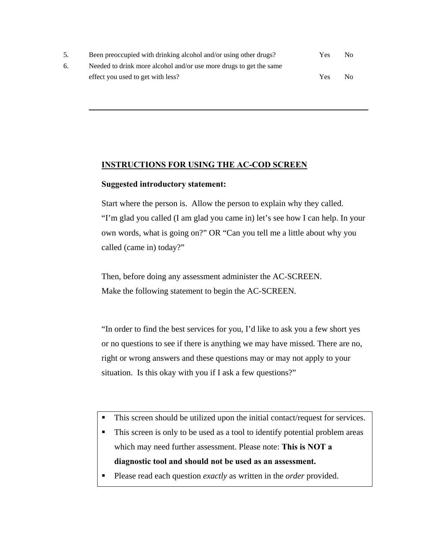|    | Been preoccupied with drinking alcohol and/or using other drugs?   | Yes | No |
|----|--------------------------------------------------------------------|-----|----|
| 6. | Needed to drink more alcohol and/or use more drugs to get the same |     |    |
|    | effect you used to get with less?                                  | Yes | No |

 $\mathcal{L} = \mathcal{L} \mathcal{L} \mathcal{L} \mathcal{L} \mathcal{L} \mathcal{L} \mathcal{L} \mathcal{L} \mathcal{L} \mathcal{L} \mathcal{L} \mathcal{L} \mathcal{L} \mathcal{L} \mathcal{L} \mathcal{L} \mathcal{L} \mathcal{L} \mathcal{L} \mathcal{L} \mathcal{L} \mathcal{L} \mathcal{L} \mathcal{L} \mathcal{L} \mathcal{L} \mathcal{L} \mathcal{L} \mathcal{L} \mathcal{L} \mathcal{L} \mathcal{L} \mathcal{L} \mathcal{L} \mathcal{L} \mathcal$ 

## **INSTRUCTIONS FOR USING THE AC-COD SCREEN**

## **Suggested introductory statement:**

Start where the person is. Allow the person to explain why they called. "I'm glad you called (I am glad you came in) let's see how I can help. In your own words, what is going on?" OR "Can you tell me a little about why you called (came in) today?"

Then, before doing any assessment administer the AC-SCREEN. Make the following statement to begin the AC-SCREEN.

"In order to find the best services for you, I'd like to ask you a few short yes or no questions to see if there is anything we may have missed. There are no, right or wrong answers and these questions may or may not apply to your situation. Is this okay with you if I ask a few questions?"

- This screen should be utilized upon the initial contact/request for services.
- This screen is only to be used as a tool to identify potential problem areas which may need further assessment. Please note: **This is NOT a diagnostic tool and should not be used as an assessment.**
- Please read each question *exactly* as written in the *order* provided.